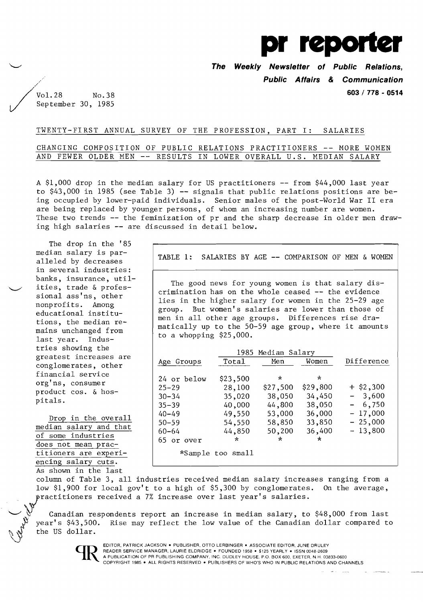

**The Weekly Newsletter of Public Relations,**  .. **Public Affairs & Communication** 

**603/778 - 0514** 

 $\sqrt{\frac{1.28}{\text{Vol. }28 \cdot \text{No. }38}}$  $\overline{\smash{\big)}\ }$  September 30, 1985

# TWENTY-FIRST ANNUAL SURVEY OF THE PROFESSION, PART I: SALARIES

# CHANGING COMPOSITION OF PUBLIC RELATIONS PRACTITIONERS -- MORE WOMEN AND FEWER OLDER MEN -- RESULTS IN LOWER OVERALL U.S. MEDIAN SALARY

A \$1,000 drop in the median salary for US practitioners -- from \$44,000 last year to  $$43,000$  in 1985 (see Table 3)  $-$  signals that public relations positions are being occupied by lower-paid individuals. Senior males of the post-World War II era are being replaced by younger persons, of whom an increasing number are women. These two trends -- the feminization of pr and the sharp decrease in older men drawing high salaries -- are discussed in detail below.

The drop in the '85 median salary is paralleled by decreases in several industries: banks, insurance, utilities, trade & professional ass'ns, other nonprofits. Among educational institutions, the median remains unchanged from last year. Industries showing the greatest increases are conglomerates, other financial service org'ns, consumer product cos. & hospitals.

Drop in the overall median salary and that of some industries does not mean practitioners are experiencing salary cuts. As shown in the last

TABLE 1: SALARIES BY AGE -- COMPARISON OF MEN & WOMEN

The good news for young women is that salary discrimination has on the whole ceased  $-$  the evidence lies in the higher salary for women in the 25-29 age group. But women's salaries are lower than those of men in all other age groups. Differences rise dramatically up to the 50-59 age group, where it amounts to a whopping \$25,000.

|             |                   | 1985 Median Salary |          |             |
|-------------|-------------------|--------------------|----------|-------------|
| Age Groups  | Total             | Men                | Women    | Difference  |
|             |                   |                    |          |             |
| 24 or below | \$23,500          | $\star$            | ÷        |             |
| $25 - 29$   | 28,100            | \$27,500           | \$29,800 | $+$ \$2,300 |
| $30 - 34$   | 35,020            | 38,050             | 34,450   | $-3,600$    |
| $35 - 39$   | 40,000            | 44,800             | 38,050   | $-6,750$    |
| $40 - 49$   | 49,550            | 53,000             | 36,000   | $-17,000$   |
| $50 - 59$   | 54,550            | 58,850             | 33,850   | $-25,000$   |
| $60 - 64$   | 44,850            | 50,200             | 36,400   | $-13,800$   |
| 65 or over  | *                 | $\star$            | $\star$  |             |
|             | *Sample too small |                    |          |             |

column of Table 3, all industries received median salary increases ranging from a low \$1,900 for local gov't to a high of \$5,300 by conglomerates. On the average, practitioners received a 7% increase over last year's salaries.

Canadian respondents report an increase in median salary, to  $$48,000$  from last year's \$43,500. Rise may reflect the low value of the Canadian dollar compared to the US dollar.



EDITOR, PATRICK JACKSON . PUBLISHER, OTTO LERBINGER . ASSOCIATE EDITOR, JUNE DRULEY READER SERVICE MANAGER, LAURIE ELDRIDGE · FOUNDED 1958 · \$125 YEARLY · ISSN 0048-2609 A PUBLICATION OF PR PUBLISHING COMPANY, INC, DUDLEY HOUSE. P.O. BOX 600, EXETER, N.H. 03833-0600 COPYRIGHT 1985 • ALL RIGHTS RESERVED· PUBLISHERS OF WHO'S WHO IN PUBLIC RELATIONS AND CHANNELS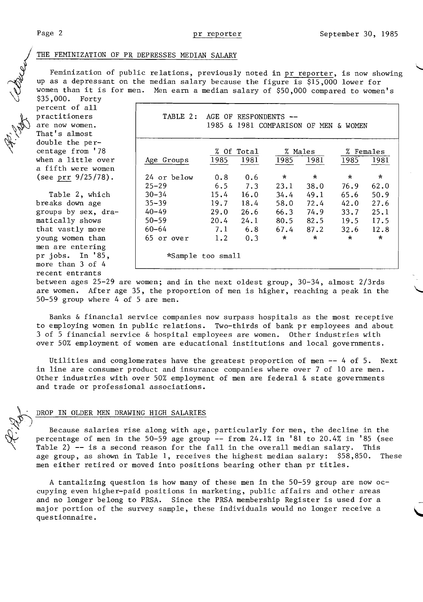**VAR** 

#### THE FEMINIZATION OF PR DEPRESSES MEDIAN SALARY

Feminization of public relations, previously noted in pr reporter, is now showing up as a depressant on the median salary because the figure is \$15,000 lower for women than it is for men. Men earn a median salary of \$50,000 compared to women's

\$35,000. Forty percent of all practitioners are now women. That's almost double the percentage from '78 when a little over a fifth were women<br>(see prr 9/25/78).

Table 2, which breaks down age groups by sex, dramatically shows that vastly more young women than men are entering pr jobs. In  $'85$ , more than 3 of 4 recent entrants

| percent of air      |                   |      |                       |         |               |                                       |           |
|---------------------|-------------------|------|-----------------------|---------|---------------|---------------------------------------|-----------|
| practitioners       | TABLE 2:          |      | AGE OF RESPONDENTS -- |         |               |                                       |           |
| are now women.      |                   |      |                       |         |               | 1985 & 1981 COMPARISON OF MEN & WOMEN |           |
| That's almost       |                   |      |                       |         |               |                                       |           |
| double the per-     |                   |      |                       |         |               |                                       |           |
| centage from '78    |                   |      | % Of Total            |         | % Males       |                                       | % Females |
| when a little over  | Age Groups        | 1985 | 1981                  | 1985    | 1981          | 1985                                  | 1981      |
| a fifth were women  |                   |      |                       |         |               |                                       |           |
| (see prr 9/25/78).  | 24 or below       | 0.8  | 0.6                   | $\star$ | $\star$       | $\star$                               | $\star$   |
|                     | $25 - 29$         | 6.5  | 7.3                   | 23.1    | 38.0          | 76.9                                  | 62.0      |
| Table 2, which      | $30 - 34$         | 15.4 | 16.0                  | 34.4    | 49.1          | 65.6                                  | 50.9      |
| breaks down age     | $35 - 39$         | 19.7 | 18.4                  | 58.0    | 72.4          | 42.0                                  | 27.6      |
| groups by sex, dra- | $40 - 49$         | 29.0 | 26.6                  | 66.3    | 74.9          | 33.7                                  | 25.1      |
| matically shows     | $50 - 59$         | 20.4 | 24.1                  | 80.5    | 82.5          | 19.5                                  | 17.5      |
| that vastly more    | 60–64             | 7.1  | 6.8                   |         | $67.4$ $87.2$ | 32.6                                  | 12.8      |
| young women than    | 65 or over        | 1.2  | 0.3                   | $\star$ | $\star$       | $\star$                               | $\star$   |
| men are entering    |                   |      |                       |         |               |                                       |           |
| pr jobs. In '85,    | *Sample too small |      |                       |         |               |                                       |           |
| nore than 3 of 6    |                   |      |                       |         |               |                                       |           |

between ages 25-29 are women; and in the next oldest group, 30-34, almost 2/3rds are women. After age 35, the proportion of men is higher, reaching a peak in the 50-59 group where 4 of 5 are men.

Banks & financial service companies now surpass hospitals as the most receptive to employing women in public relations. Two-thirds of bank pr employees and about 3 of 5 financial service & hospital employees are women. Other industries with over 50% employment of women are educational institutions and local governments.

Utilities and conglomerates have the greatest proportion of men -- 4 of 5. Next in line are consumer product and insurance companies where over 7 of 10 are men. Other industries with over 50% employment of men are federal & state governments and trade or professional associations.

## DROP IN OLDER MEN DRAWING HIGH SALARIES

Because salaries rise along with age, particularly for men, the decline in the percentage of men in the 50-59 age group  $-$  from 24.1% in '81 to 20.4% in '85 (see Table 2)  $-$  is a second reason for the fall in the overall median salary. This age group, as shown in Table 1, receives the highest median salary: \$58,850. These men either retired or moved into positions bearing other than pr titles.

A tantalizing question is how many of these men in the 50-59 group are now occupying even higher-paid positions in marketing, public affairs and other areas and no longer belong to PRSA. Since the PRSA membership Register is used for a major portion of the survey sample, these individuals would no longer receive a questionnaire.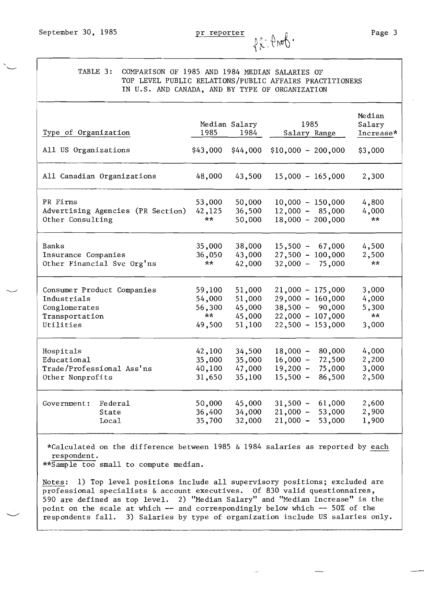TABLE 3: COMPARISON OF 1985 AND 1984 MEDIAN SALARIES OF TOP LEVEL PUBLIC RELATIONS/PUBLIC AFFAIRS PRACTITIONERS IN U.S. AND CANADA, AND BY TYPE OF ORGANIZATION

| Type of Organization                                                                      | 1985                                       | Median Salary<br>1984                          | 1985<br>Salary Range                                                                                      | Median<br>Salary<br>Increase*            |
|-------------------------------------------------------------------------------------------|--------------------------------------------|------------------------------------------------|-----------------------------------------------------------------------------------------------------------|------------------------------------------|
| All US Organizations                                                                      | \$43,000                                   | \$44,000                                       | $$10,000 - 200,000$                                                                                       | \$3,000                                  |
| All Canadian Organizations                                                                | 48,000                                     | 43,500                                         | $15,000 - 165,000$                                                                                        | 2,300                                    |
| PR Firms<br>Advertising Agencies (PR Section)<br>Other Consulting                         | 53,000<br>42,125<br>$***$                  | 50,000<br>36,500<br>50,000                     | $10,000 - 150,000$<br>$12,000 - 85,000$<br>$18,000 - 200,000$                                             | 4,800<br>4,000<br>$***$                  |
| Banks<br>Insurance Companies<br>Other Financial Svc Org'ns                                | 35,000<br>36,050<br>**                     | 38,000<br>43,000<br>42,000                     | $15,500 - 67,000$<br>$27,500 - 100,000$<br>$32,000 - 75,000$                                              | 4,500<br>2,500<br>$**$                   |
| Consumer Product Companies<br>Industrials<br>Conglomerates<br>Transportation<br>Utilities | 59,100<br>54,000<br>56,300<br>**<br>49,500 | 51,000<br>51,000<br>45,000<br>45,000<br>51,100 | $21,000 - 175,000$<br>$29,000 - 160,000$<br>$38,500 - 90,000$<br>$22,000 - 107,000$<br>$22,500 - 153,000$ | 3,000<br>4,000<br>5,300<br>$**$<br>3,000 |
| Hospitals<br>Educational<br>Trade/Professional Ass'ns<br>Other Nonprofits                 | 42,100<br>35,000<br>40,100<br>31,650       | 34,500<br>35,000<br>47,000<br>35,100           | 80,000<br>$18,000 -$<br>$16,000 -$<br>72,500<br>$19,200 -$<br>75,000<br>$15,500 -$<br>86,500              | 4,000<br>2,200<br>3,000<br>2,500         |
| Federal<br>Government:<br>State<br>Loca1                                                  | 50,000<br>36,400<br>35,700                 | 45,000<br>34,000<br>32,000                     | $31,500 -$<br>61,000<br>$21,000 -$<br>53,000<br>$21,000 -$<br>53,000                                      | 2,600<br>2,900<br>1,900                  |

\*Calculated on the difference between 1985 & 1984 salaries as reported by each respondent.

\*\*Sample too small to compute median.

Notes: 1) Top level positions include all supervisory positions; excluded are professional specialists & account executives. Of 830 valid questionnaires, ...<br>590 are defined as top level. 2) "Median Salary" and "Median Increase" is the point on the scale at whic h -- and correspondingly below which -- 50% of the respondents fall. 3) Salaries by type of organization include US salaries only.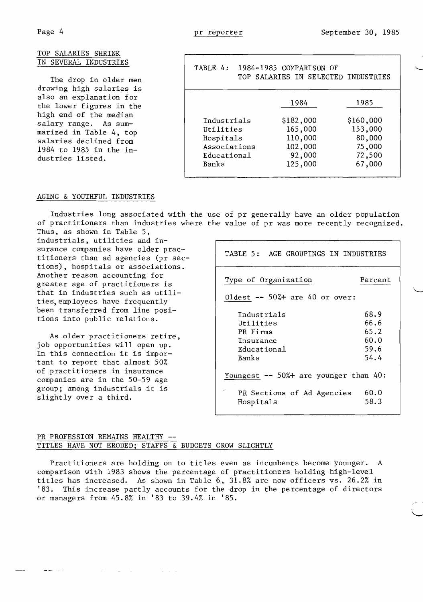1985

\$160,000 153,000 80,000 75,000 72 ,500 67,000

IN SELECTED INDUSTRIES

| TOP SALARIES SHRINK                             |                                  |                         |
|-------------------------------------------------|----------------------------------|-------------------------|
| IN SEVERAL INDUSTRIES                           | TABLE 4: 1984-1985 COMPARISON OF |                         |
| The drop in older men                           |                                  | TOP SALARIES IN SELECTE |
| drawing high salaries is                        |                                  |                         |
| also an explanation for                         |                                  |                         |
| the lower figures in the                        |                                  | 1984                    |
| high end of the median<br>salary range. As sum- | Industrials                      | \$182,000               |
| marized in Table 4, top                         | Utilities                        | 165,000                 |
| salaries declined from                          | Hospitals                        | 110,000                 |
| 1984 to 1985 in the in-                         | Associations                     | 102,000                 |
|                                                 |                                  |                         |

### AGING &YOUTHFUL INDUSTRIES

dustries listed.

Industries long associated with the use of pr generally have an older population of practitioners than industries where the value of pr was more recently recognized. Thus, as shown in Table 5,

Educational

Banks

industrials, utilities and insurance companies have older practitioners than ad agencies (pr sections), hospitals or associations. Another reason accounting for greater age of practitioners is that in industries such as utilities, employees have frequently been transferred from line positions into public relations.

As older practitioners retire, job opportunities will open up. In this connection it is important to report that almost 50% of practitioners in insurance companies are in the 50-59 age group; among industrials it is slightly over a third.

| TABLE 5: AGE GROUPINGS IN INDUSTRIES                                      |                                              |
|---------------------------------------------------------------------------|----------------------------------------------|
| Type of Organization                                                      | Percent                                      |
| Oldest $-50\%+$ are 40 or over:                                           |                                              |
| Industrials<br>Utilities<br>PR Firms<br>Insurance<br>Educational<br>Banks | 68.9<br>66.6<br>65.2<br>60.0<br>59.6<br>54.4 |
| Youngest -- 50%+ are younger than 40:                                     |                                              |
| PR Sections of Ad Agencies<br>Hospitals                                   | 60.0<br>58.3                                 |

92 ,000 125,000

# PR PROFESSION REMAINS HEALTHY **-** TITLES HAVE NOT ERODED; STAFFS & BUDGETS GROW SLIGHTLY

**Service** St

Practitioners are holding on to titles even as incumbents become younger. A comparison with 1983 shows the percentage of practitioners holding high-level titles has increased. As shown in Table 6, 31.8% are now officers vs. 26.2% in '83. This increase partly accounts for the drop in the percentage of directors or managers from 45.8% in '83 to 39.4% in '85.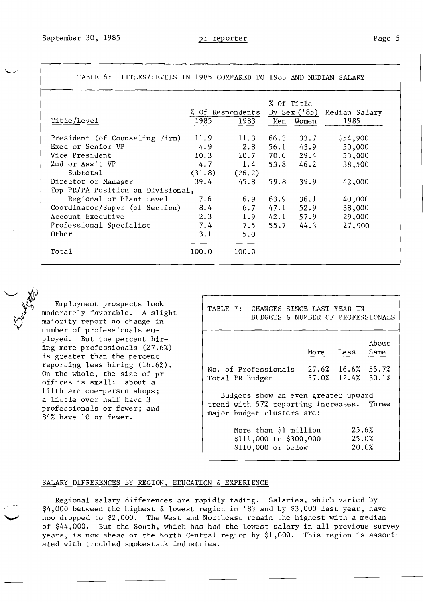|                                   |        | % Of Respondents |      | % Of Title<br>By Sex $('85)$ |                       |
|-----------------------------------|--------|------------------|------|------------------------------|-----------------------|
| Title/Level                       | 1985   | 1983             | Men  | Women                        | Median Salary<br>1985 |
|                                   |        |                  |      |                              |                       |
| President (of Counseling Firm)    | 11.9   | 11.3             | 66.3 | 33.7                         | \$54,900              |
| Exec or Senior VP                 | 4.9    | 2.8              | 56.1 | 43.9                         | 50,000                |
| Vice President                    | 10.3   | 10.7             | 70.6 | 29.4                         | 53,000                |
| 2nd or Ass't VP                   | 4.7    | 1.4              | 53.8 | 46.2                         | 38,500                |
| Subtotal                          | (31.8) | (26.2)           |      |                              |                       |
| Director or Manager               | 39.4   | 45.8             | 59.8 | 39.9                         | 42,000                |
| Top PR/PA Position on Divisional, |        |                  |      |                              |                       |
| Regional or Plant Level           | 7.6    | 6.9              | 63.9 | 36.1                         | 40,000                |
| Coordinator/Supvr (of Section)    | 8.4    | 6.7              | 47.1 | 52.9                         | 38,000                |
| Account Executive                 | 2.3    | 1.9              | 42.1 | 57.9                         | 29,000                |
| Professional Specialist           | 7.4    | 7.5              | 55.7 | 44.3                         | 27,900                |
| Other                             | 3.1    | 5.0              |      |                              |                       |
|                                   |        |                  |      |                              |                       |
| Total                             | 100.0  | 100.0            |      |                              |                       |
|                                   |        |                  |      |                              |                       |

TABLE 6: TITLES/LEVELS IN 1985 COMPARED TO 1983 AND MEDIAN SALARY

Employment prospects look<br>moderately favorately moderately favorable. A slight majority report no change in number of professionals employed. But the percent hiring more professionals (27.6%) is greater than the percent reporting less hiring (16.6%). On the whole, the size of pr offices is small: about a fifth are one-person shops; a little over half have 3 professionals or fewer; and 84% have 10 or fewer.

| TABLE 7: CHANGES SINCE LAST YEAR IN<br>BUDGETS & NUMBER OF PROFESSIONALS                                       |      |                         |               |  |  |  |
|----------------------------------------------------------------------------------------------------------------|------|-------------------------|---------------|--|--|--|
|                                                                                                                | More | Less                    | About<br>Same |  |  |  |
| $27.6\%$ 16.6% 55.7%<br>No. of Professionals<br>57.0% 12.4% 30.1%<br>Total PR Budget                           |      |                         |               |  |  |  |
| Budgets show an even greater upward<br>trend with 57% reporting increases. Three<br>major budget clusters are: |      |                         |               |  |  |  |
| More than \$1 million<br>\$111,000 to \$300,000<br>\$110,000 or below                                          |      | 25.6%<br>25.0%<br>20.0% |               |  |  |  |

### SALARY DIFFERENCES BY REGION, EDUCATION & EXPERIENCE

Regional salary differences are rapidly fading. Salaries, which varied by \$4,000 between the highest & lowest region in '83 and by \$3,000 last year, have now dropped to \$2,000. The West and Northeast remain the highest with a median of \$44,000. But the South, which has had the lowest salary in all previous survey years, is now ahead of the North Central region by \$1,000. This region is associated with troubled smokestack industries.